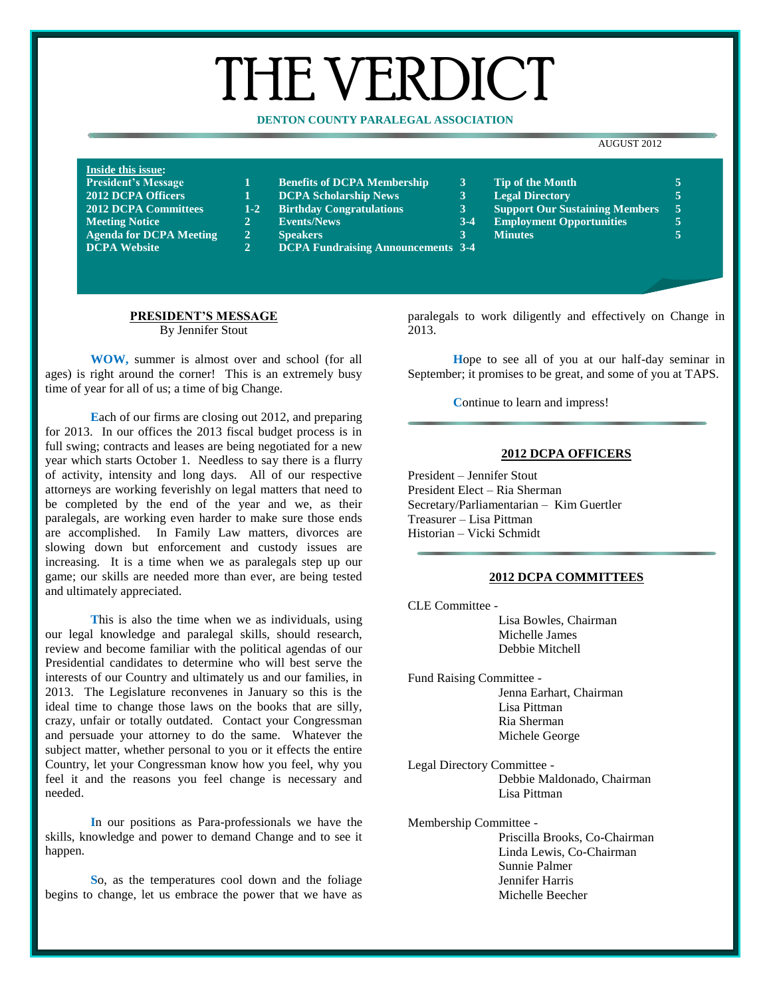# THE VERDICT

# **DENTON COUNTY PARALEGAL ASSOCIATION**

#### AUGUST 2012

| <b>Inside this issue:</b>      |                |                                           |       |                                       |     |
|--------------------------------|----------------|-------------------------------------------|-------|---------------------------------------|-----|
| <b>President's Message</b>     |                | <b>Benefits of DCPA Membership</b>        |       | <b>Tip of the Month</b>               |     |
| <b>2012 DCPA Officers</b>      |                | <b>DCPA Scholarship News</b>              |       | <b>Legal Directory</b>                | Ę   |
| <b>2012 DCPA Committees</b>    |                | 1-2 Birthday Congratulations              |       | <b>Support Our Sustaining Members</b> | - 5 |
| <b>Meeting Notice</b>          |                | <b>Events/News</b>                        | $3-4$ | <b>Employment Opportunities</b>       | 5   |
| <b>Agenda for DCPA Meeting</b> | $\overline{2}$ | <b>Speakers</b>                           |       | <b>Minutes</b>                        | ς   |
| <b>DCPA Website</b>            | $\mathbf{2}$   | <b>DCPA Fundraising Announcements 3-4</b> |       |                                       |     |

- 
- 
- 
- 
- 
- **DCPA Website 2 DCPA Fundraising Announcements 3-4**
- **President's Message 1 Benefits of DCPA Membership 3 Tip of the Month 5**
- **2012 DCPA Scholarship News 1.2 2012 Directory 1.2 Right Rightan 2 3 Example 1 Conserversity 5 5 Support Our Sustaining Members 5**
- **2012 DCPA Committees 1-2 Birthday Congratulations 3 Support Our Sustaining Members 5**
- **Meeting Notice 2 Events/News 3-4 Employment Opportunities 5**
	-

#### **PRESIDENT'S MESSAGE** By Jennifer Stout

**WOW,** summer is almost over and school (for all ages) is right around the corner! This is an extremely busy time of year for all of us; a time of big Change.

**E**ach of our firms are closing out 2012, and preparing for 2013. In our offices the 2013 fiscal budget process is in full swing; contracts and leases are being negotiated for a new year which starts October 1. Needless to say there is a flurry of activity, intensity and long days. All of our respective attorneys are working feverishly on legal matters that need to be completed by the end of the year and we, as their paralegals, are working even harder to make sure those ends are accomplished. In Family Law matters, divorces are slowing down but enforcement and custody issues are increasing. It is a time when we as paralegals step up our game; our skills are needed more than ever, are being tested and ultimately appreciated.

**T**his is also the time when we as individuals, using our legal knowledge and paralegal skills, should research, review and become familiar with the political agendas of our Presidential candidates to determine who will best serve the interests of our Country and ultimately us and our families, in 2013. The Legislature reconvenes in January so this is the ideal time to change those laws on the books that are silly, crazy, unfair or totally outdated. Contact your Congressman and persuade your attorney to do the same. Whatever the subject matter, whether personal to you or it effects the entire Country, let your Congressman know how you feel, why you feel it and the reasons you feel change is necessary and needed.

**I**n our positions as Para-professionals we have the skills, knowledge and power to demand Change and to see it happen.

**S**o, as the temperatures cool down and the foliage begins to change, let us embrace the power that we have as paralegals to work diligently and effectively on Change in 2013.

**H**ope to see all of you at our half-day seminar in September; it promises to be great, and some of you at TAPS.

**Continue to learn and impress!** 

#### **2012 DCPA OFFICERS**

President – Jennifer Stout President Elect – Ria Sherman Secretary/Parliamentarian – Kim Guertler Treasurer – Lisa Pittman Historian – Vicki Schmidt

#### **2012 DCPA COMMITTEES**

CLE Committee - Lisa Bowles, Chairman Michelle James Debbie Mitchell

- Fund Raising Committee Jenna Earhart, Chairman Lisa Pittman Ria Sherman Michele George
- Legal Directory Committee Debbie Maldonado, Chairman Lisa Pittman
- Membership Committee Priscilla Brooks, Co-Chairman Linda Lewis, Co-Chairman Sunnie Palmer Jennifer Harris Michelle Beecher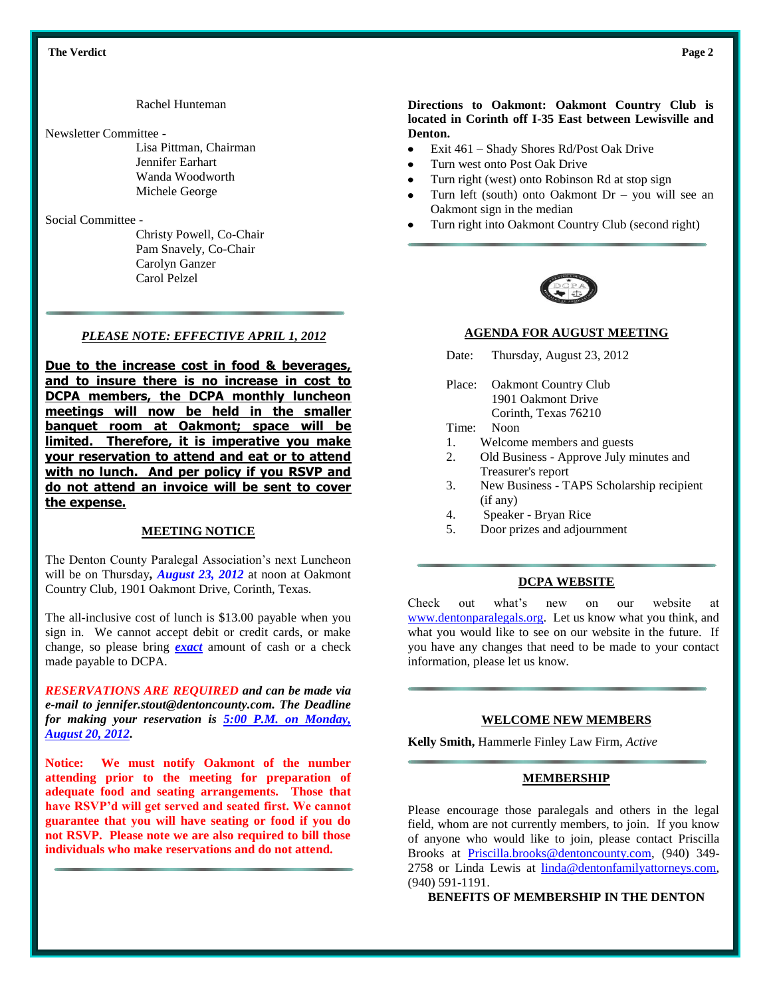Rachel Hunteman

#### Newsletter Committee -

Lisa Pittman, Chairman Jennifer Earhart Wanda Woodworth Michele George

# Social Committee -

Christy Powell, Co-Chair Pam Snavely, Co-Chair Carolyn Ganzer Carol Pelzel

## *PLEASE NOTE: EFFECTIVE APRIL 1, 2012*

**Due to the increase cost in food & beverages, and to insure there is no increase in cost to DCPA members, the DCPA monthly luncheon meetings will now be held in the smaller banquet room at Oakmont; space will be limited. Therefore, it is imperative you make your reservation to attend and eat or to attend with no lunch. And per policy if you RSVP and do not attend an invoice will be sent to cover the expense.** 

#### **MEETING NOTICE**

The Denton County Paralegal Association's next Luncheon will be on Thursday*, August 23, 2012* at noon at Oakmont Country Club, 1901 Oakmont Drive, Corinth, Texas.

The all-inclusive cost of lunch is \$13.00 payable when you sign in. We cannot accept debit or credit cards, or make change, so please bring *exact* amount of cash or a check made payable to DCPA.

*RESERVATIONS ARE REQUIRED and can be made via e-mail to jennifer.stout@dentoncounty.com. The Deadline for making your reservation is 5:00 P.M. on Monday, August 20, 2012.*

**Notice: We must notify Oakmont of the number attending prior to the meeting for preparation of adequate food and seating arrangements. Those that have RSVP'd will get served and seated first. We cannot guarantee that you will have seating or food if you do not RSVP. Please note we are also required to bill those individuals who make reservations and do not attend.**

#### **Directions to Oakmont: Oakmont Country Club is located in Corinth off I-35 East between Lewisville and Denton.**

- $\bullet$ Exit 461 – Shady Shores Rd/Post Oak Drive
- Turn west onto Post Oak Drive
- Turn right (west) onto Robinson Rd at stop sign
- Turn left (south) onto Oakmont  $Dr you will see an$ Oakmont sign in the median
- Turn right into Oakmont Country Club (second right)



#### **AGENDA FOR AUGUST MEETING**

- Date: Thursday, August 23, 2012
- Place: Oakmont Country Club 1901 Oakmont Drive Corinth, Texas 76210
- Time: Noon
- 1. Welcome members and guests
- 2. Old Business Approve July minutes and Treasurer's report
- 3. New Business TAPS Scholarship recipient (if any)
- 4. Speaker Bryan Rice
- 5. Door prizes and adjournment

#### **DCPA WEBSITE**

Check out what's new on our website at [www.dentonparalegals.org.](http://www.dentonparalegals.org/) Let us know what you think, and what you would like to see on our website in the future. If you have any changes that need to be made to your contact information, please let us know.

#### **WELCOME NEW MEMBERS**

**Kelly Smith,** Hammerle Finley Law Firm, *Active*

#### **MEMBERSHIP**

Please encourage those paralegals and others in the legal field, whom are not currently members, to join. If you know of anyone who would like to join, please contact Priscilla Brooks at [Priscilla.brooks@dentoncounty.com,](mailto:Priscilla.brooks@dentoncounty.com) (940) 349- 2758 or Linda Lewis at [linda@dentonfamilyattorneys.com,](mailto:linda@dentonfamilyattorneys.com) (940) 591-1191.

**BENEFITS OF MEMBERSHIP IN THE DENTON**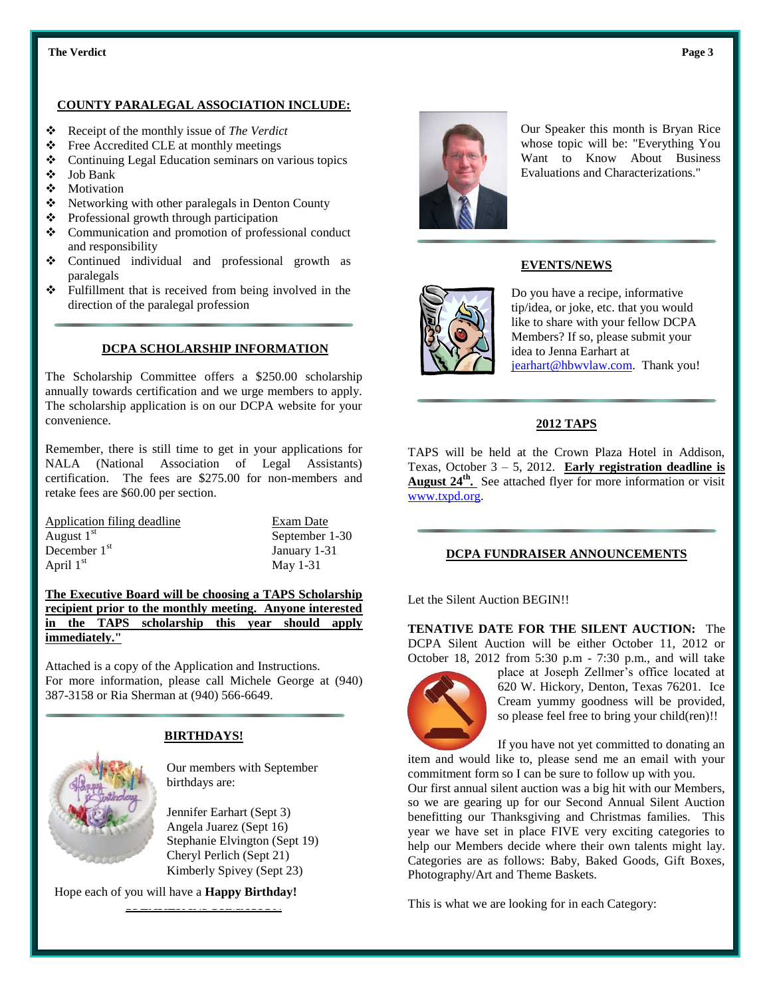#### **Example 1** The Verdict **Page 3** Page 3

# **COUNTY PARALEGAL ASSOCIATION INCLUDE:**

- Receipt of the monthly issue of *The Verdict*
- Free Accredited CLE at monthly meetings
- Continuing Legal Education seminars on various topics
- Job Bank
- Motivation
- $\triangle$  Networking with other paralegals in Denton County
- Professional growth through participation
- Communication and promotion of professional conduct and responsibility
- Continued individual and professional growth as paralegals
- Fulfillment that is received from being involved in the direction of the paralegal profession

## **DCPA SCHOLARSHIP INFORMATION**

The Scholarship Committee offers a \$250.00 scholarship annually towards certification and we urge members to apply. The scholarship application is on our DCPA website for your convenience.

Remember, there is still time to get in your applications for NALA (National Association of Legal Assistants) certification. The fees are \$275.00 for non-members and retake fees are \$60.00 per section.

| Application filing deadline | Exam Date      |  |
|-----------------------------|----------------|--|
| August $1st$                | September 1-30 |  |
| December $1st$              | January 1-31   |  |
| April $1st$                 | May $1-31$     |  |

**The Executive Board will be choosing a TAPS Scholarship recipient prior to the monthly meeting. Anyone interested in the TAPS scholarship this year should apply immediately."**

Attached is a copy of the Application and Instructions. For more information, please call Michele George at (940) 387-3158 or Ria Sherman at (940) 566-6649.



# **BIRTHDAYS!**

Our members with September birthdays are:

Jennifer Earhart (Sept 3) Angela Juarez (Sept 16) Stephanie Elvington (Sept 19) Cheryl Perlich (Sept 21) Kimberly Spivey (Sept 23)

Hope each of you will have a **Happy Birthday!**

<u>se manner in de seuler in de</u>



Our Speaker this month is Bryan Rice whose topic will be: "Everything You Want to Know About Business Evaluations and Characterizations."

## **EVENTS/NEWS**



Do you have a recipe, informative tip/idea, or joke, etc. that you would like to share with your fellow DCPA Members? If so, please submit your idea to Jenna Earhart at [jearhart@hbwvlaw.com.](mailto:jearhart@hbwvlaw.com) Thank you!

### **2012 TAPS**

TAPS will be held at the Crown Plaza Hotel in Addison, Texas, October 3 – 5, 2012. **Early registration deadline is August 24th .** See attached flyer for more information or visit [www.txpd.org.](http://www.txpd.org/)

#### **DCPA FUNDRAISER ANNOUNCEMENTS**

Let the Silent Auction BEGIN!!

**TENATIVE DATE FOR THE SILENT AUCTION:** The DCPA Silent Auction will be either October 11, 2012 or October 18, 2012 from 5:30 p.m - 7:30 p.m., and will take



place at Joseph Zellmer's office located at 620 W. Hickory, Denton, Texas 76201. Ice Cream yummy goodness will be provided, so please feel free to bring your child(ren)!!

If you have not yet committed to donating an item and would like to, please send me an email with your

commitment form so I can be sure to follow up with you. Our first annual silent auction was a big hit with our Members, so we are gearing up for our Second Annual Silent Auction benefitting our Thanksgiving and Christmas families. This year we have set in place FIVE very exciting categories to help our Members decide where their own talents might lay. Categories are as follows: Baby, Baked Goods, Gift Boxes, Photography/Art and Theme Baskets.

This is what we are looking for in each Category: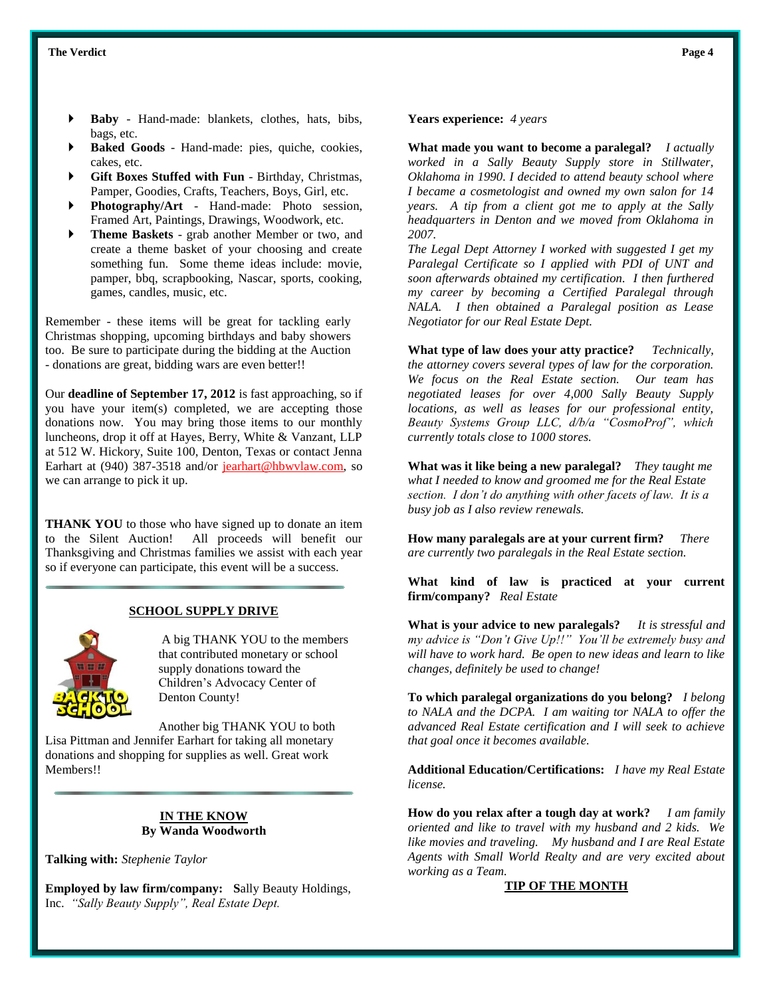- **Baby** Hand-made: blankets, clothes, hats, bibs, bags, etc.
- **Baked Goods** Hand-made: pies, quiche, cookies, cakes, etc.
- **Gift Boxes Stuffed with Fun** Birthday, Christmas, Pamper, Goodies, Crafts, Teachers, Boys, Girl, etc.
- **Photography/Art** Hand-made: Photo session, Framed Art, Paintings, Drawings, Woodwork, etc.
- **Theme Baskets** grab another Member or two, and create a theme basket of your choosing and create something fun. Some theme ideas include: movie, pamper, bbq, scrapbooking, Nascar, sports, cooking, games, candles, music, etc.

Remember - these items will be great for tackling early Christmas shopping, upcoming birthdays and baby showers too. Be sure to participate during the bidding at the Auction - donations are great, bidding wars are even better!!

Our **deadline of September 17, 2012** is fast approaching, so if you have your item(s) completed, we are accepting those donations now. You may bring those items to our monthly luncheons, drop it off at Hayes, Berry, White & Vanzant, LLP at 512 W. Hickory, Suite 100, Denton, Texas or contact Jenna Earhart at (940) 387-3518 and/or jearhart@hbwvlaw.com, so we can arrange to pick it up.

**THANK YOU** to those who have signed up to donate an item to the Silent Auction! All proceeds will benefit our Thanksgiving and Christmas families we assist with each year so if everyone can participate, this event will be a success.

#### **SCHOOL SUPPLY DRIVE**



A big THANK YOU to the members that contributed monetary or school supply donations toward the Children's Advocacy Center of Denton County!

Another big THANK YOU to both Lisa Pittman and Jennifer Earhart for taking all monetary donations and shopping for supplies as well. Great work Members!!

#### **IN THE KNOW By Wanda Woodworth**

**Talking with:** *Stephenie Taylor*

**Employed by law firm/company: S**ally Beauty Holdings, Inc. *"Sally Beauty Supply", Real Estate Dept.*

**Years experience:** *4 years* 

**What made you want to become a paralegal?** *I actually worked in a Sally Beauty Supply store in Stillwater, Oklahoma in 1990. I decided to attend beauty school where I became a cosmetologist and owned my own salon for 14 years. A tip from a client got me to apply at the Sally headquarters in Denton and we moved from Oklahoma in 2007.* 

*The Legal Dept Attorney I worked with suggested I get my Paralegal Certificate so I applied with PDI of UNT and soon afterwards obtained my certification. I then furthered my career by becoming a Certified Paralegal through NALA. I then obtained a Paralegal position as Lease Negotiator for our Real Estate Dept.*

**What type of law does your atty practice?** *Technically, the attorney covers several types of law for the corporation. We focus on the Real Estate section. Our team has negotiated leases for over 4,000 Sally Beauty Supply locations, as well as leases for our professional entity, Beauty Systems Group LLC, d/b/a "CosmoProf", which currently totals close to 1000 stores.*

**What was it like being a new paralegal?** *They taught me what I needed to know and groomed me for the Real Estate section. I don't do anything with other facets of law. It is a busy job as I also review renewals.*

**How many paralegals are at your current firm?** *There are currently two paralegals in the Real Estate section.*

**What kind of law is practiced at your current firm/company?** *Real Estate*

**What is your advice to new paralegals?** *It is stressful and my advice is "Don't Give Up!!" You'll be extremely busy and will have to work hard. Be open to new ideas and learn to like changes, definitely be used to change!*

**To which paralegal organizations do you belong?** *I belong to NALA and the DCPA. I am waiting tor NALA to offer the advanced Real Estate certification and I will seek to achieve that goal once it becomes available.*

**Additional Education/Certifications:** *I have my Real Estate license.*

**How do you relax after a tough day at work?** *I am family oriented and like to travel with my husband and 2 kids. We like movies and traveling. My husband and I are Real Estate Agents with Small World Realty and are very excited about working as a Team.*

#### **TIP OF THE MONTH**